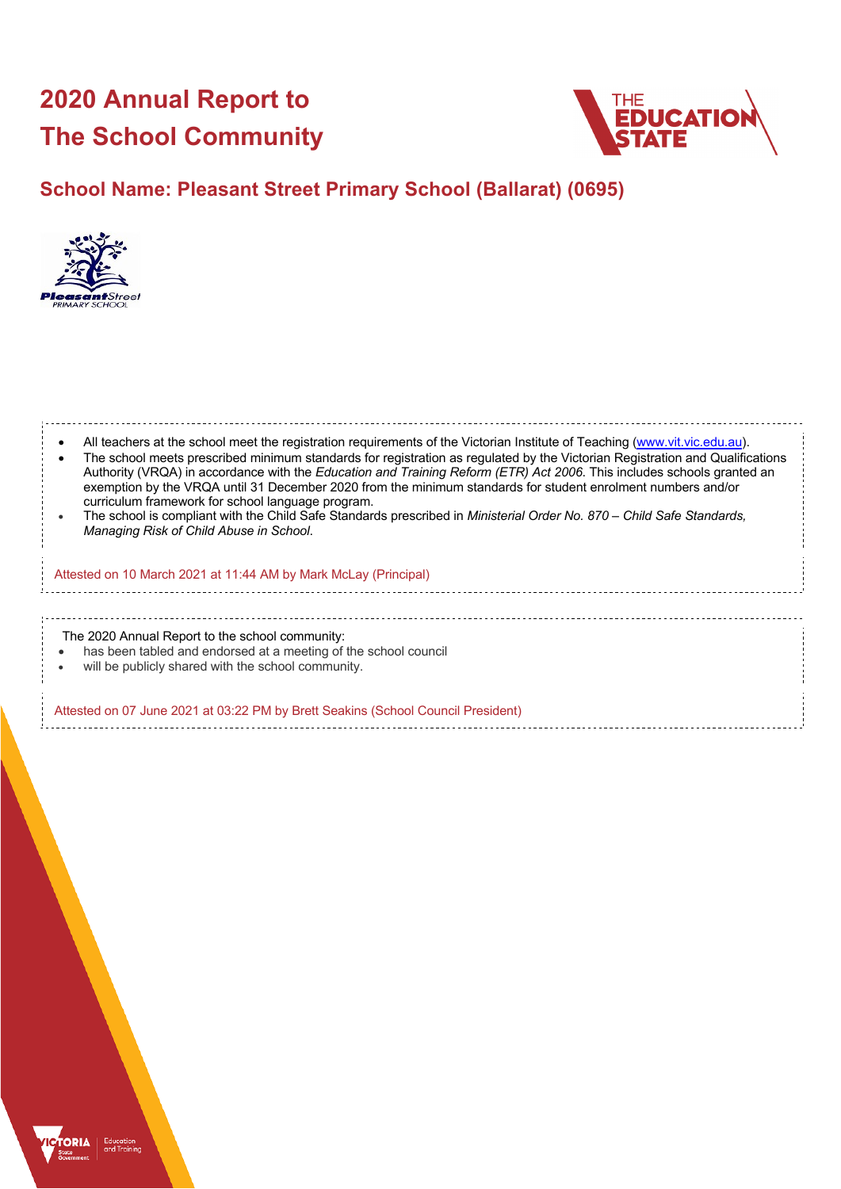# **2020 Annual Report to The School Community**



# **School Name: Pleasant Street Primary School (Ballarat) (0695)**



| All teachers at the school meet the registration requirements of the Victorian Institute of Teaching (www.vit.vic.edu.au).<br>The school meets prescribed minimum standards for registration as regulated by the Victorian Registration and Qualifications<br>Authority (VRQA) in accordance with the Education and Training Reform (ETR) Act 2006. This includes schools granted an<br>exemption by the VRQA until 31 December 2020 from the minimum standards for student enrolment numbers and/or<br>curriculum framework for school language program.<br>The school is compliant with the Child Safe Standards prescribed in Ministerial Order No. 870 - Child Safe Standards,<br>Managing Risk of Child Abuse in School. |
|-------------------------------------------------------------------------------------------------------------------------------------------------------------------------------------------------------------------------------------------------------------------------------------------------------------------------------------------------------------------------------------------------------------------------------------------------------------------------------------------------------------------------------------------------------------------------------------------------------------------------------------------------------------------------------------------------------------------------------|
| Attested on 10 March 2021 at 11:44 AM by Mark McLay (Principal)                                                                                                                                                                                                                                                                                                                                                                                                                                                                                                                                                                                                                                                               |
|                                                                                                                                                                                                                                                                                                                                                                                                                                                                                                                                                                                                                                                                                                                               |
| The 2020 Annual Report to the school community:<br>has been tabled and endorsed at a meeting of the school council<br>will be publicly shared with the school community.                                                                                                                                                                                                                                                                                                                                                                                                                                                                                                                                                      |
| Attested on 07 June 2021 at 03:22 PM by Brett Seakins (School Council President)                                                                                                                                                                                                                                                                                                                                                                                                                                                                                                                                                                                                                                              |

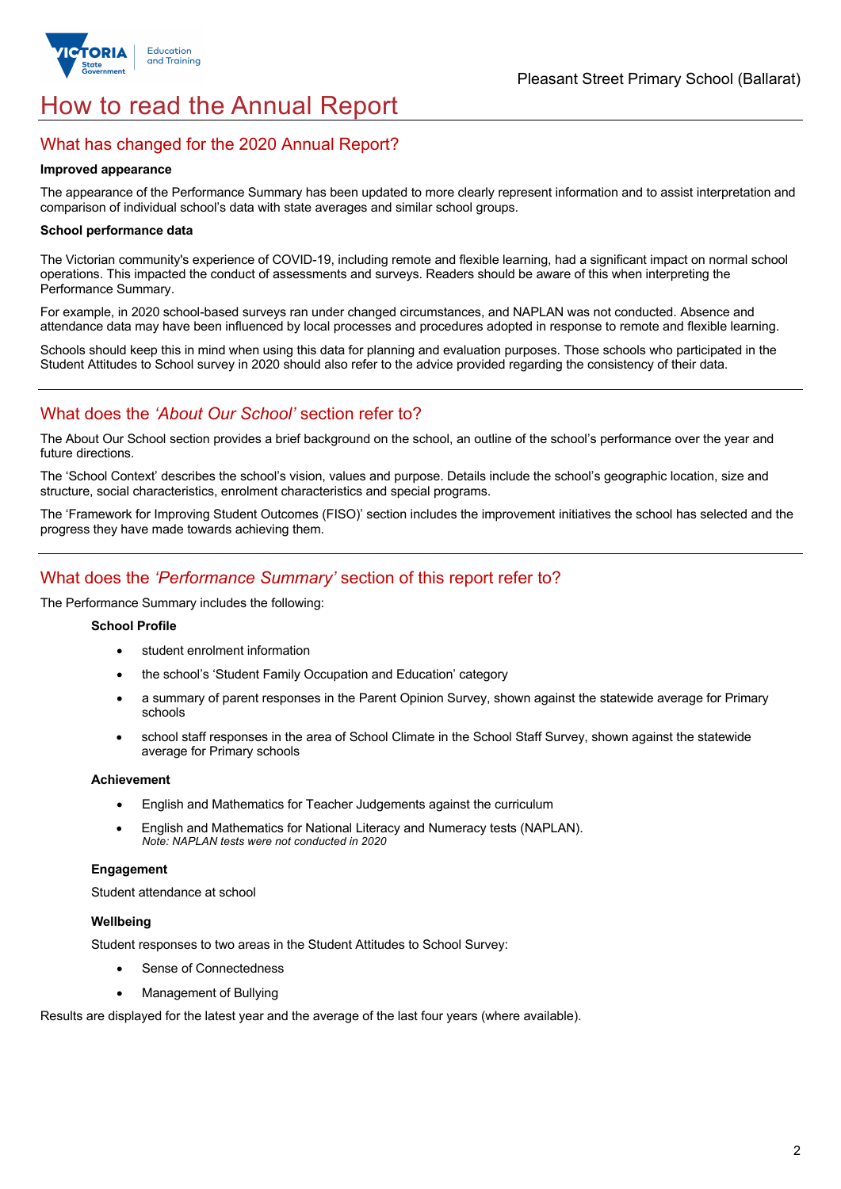

# How to read the Annual Report

# What has changed for the 2020 Annual Report?

#### **Improved appearance**

The appearance of the Performance Summary has been updated to more clearly represent information and to assist interpretation and comparison of individual school's data with state averages and similar school groups.

#### **School performance data**

The Victorian community's experience of COVID-19, including remote and flexible learning, had a significant impact on normal school operations. This impacted the conduct of assessments and surveys. Readers should be aware of this when interpreting the Performance Summary.

For example, in 2020 school-based surveys ran under changed circumstances, and NAPLAN was not conducted. Absence and attendance data may have been influenced by local processes and procedures adopted in response to remote and flexible learning.

Schools should keep this in mind when using this data for planning and evaluation purposes. Those schools who participated in the Student Attitudes to School survey in 2020 should also refer to the advice provided regarding the consistency of their data.

# What does the *'About Our School'* section refer to?

The About Our School section provides a brief background on the school, an outline of the school's performance over the year and future directions.

The 'School Context' describes the school's vision, values and purpose. Details include the school's geographic location, size and structure, social characteristics, enrolment characteristics and special programs.

The 'Framework for Improving Student Outcomes (FISO)' section includes the improvement initiatives the school has selected and the progress they have made towards achieving them.

# What does the *'Performance Summary'* section of this report refer to?

The Performance Summary includes the following:

#### **School Profile**

- student enrolment information
- the school's 'Student Family Occupation and Education' category
- a summary of parent responses in the Parent Opinion Survey, shown against the statewide average for Primary schools
- school staff responses in the area of School Climate in the School Staff Survey, shown against the statewide average for Primary schools

#### **Achievement**

- English and Mathematics for Teacher Judgements against the curriculum
- English and Mathematics for National Literacy and Numeracy tests (NAPLAN). *Note: NAPLAN tests were not conducted in 2020*

### **Engagement**

Student attendance at school

#### **Wellbeing**

Student responses to two areas in the Student Attitudes to School Survey:

- Sense of Connectedness
- Management of Bullying

Results are displayed for the latest year and the average of the last four years (where available).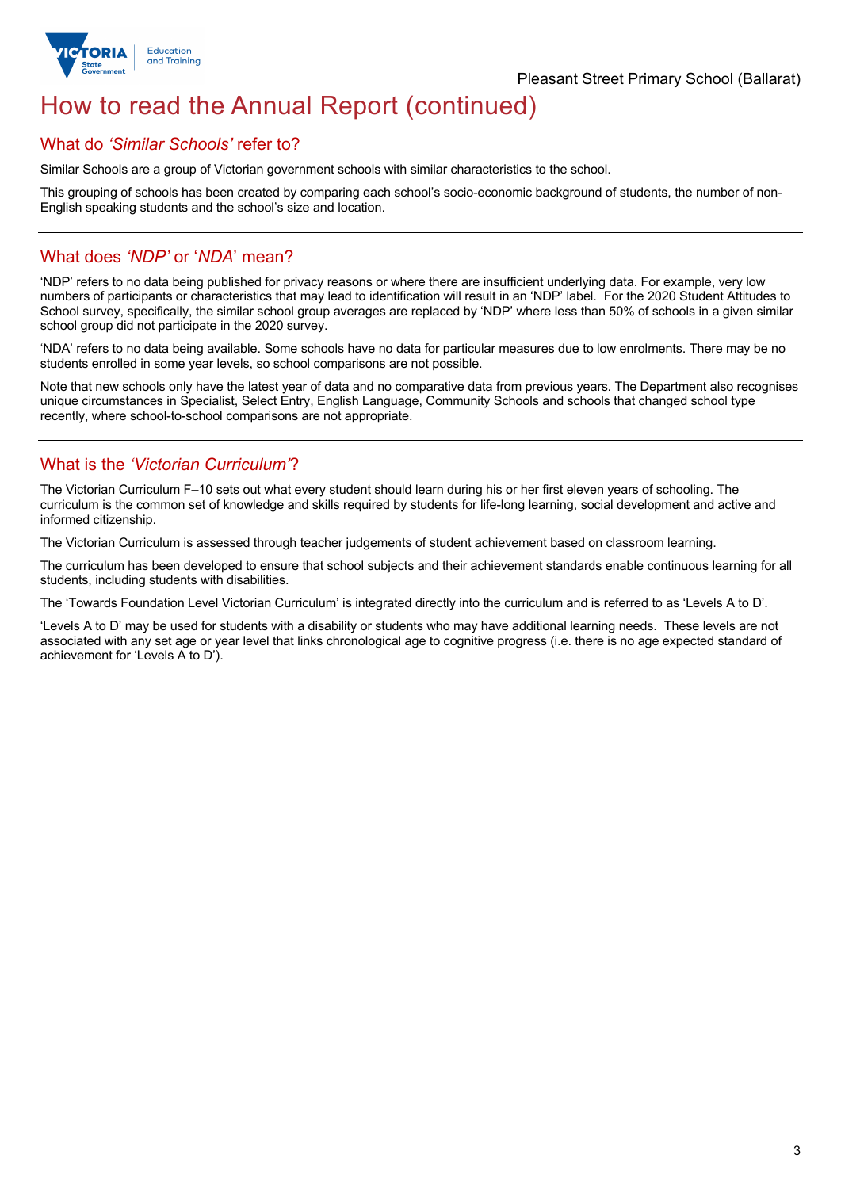

# How to read the Annual Report (continued)

## What do *'Similar Schools'* refer to?

Similar Schools are a group of Victorian government schools with similar characteristics to the school.

This grouping of schools has been created by comparing each school's socio-economic background of students, the number of non-English speaking students and the school's size and location.

# What does *'NDP'* or '*NDA*' mean?

'NDP' refers to no data being published for privacy reasons or where there are insufficient underlying data. For example, very low numbers of participants or characteristics that may lead to identification will result in an 'NDP' label. For the 2020 Student Attitudes to School survey, specifically, the similar school group averages are replaced by 'NDP' where less than 50% of schools in a given similar school group did not participate in the 2020 survey.

'NDA' refers to no data being available. Some schools have no data for particular measures due to low enrolments. There may be no students enrolled in some year levels, so school comparisons are not possible.

Note that new schools only have the latest year of data and no comparative data from previous years. The Department also recognises unique circumstances in Specialist, Select Entry, English Language, Community Schools and schools that changed school type recently, where school-to-school comparisons are not appropriate.

# What is the *'Victorian Curriculum'*?

The Victorian Curriculum F–10 sets out what every student should learn during his or her first eleven years of schooling. The curriculum is the common set of knowledge and skills required by students for life-long learning, social development and active and informed citizenship.

The Victorian Curriculum is assessed through teacher judgements of student achievement based on classroom learning.

The curriculum has been developed to ensure that school subjects and their achievement standards enable continuous learning for all students, including students with disabilities.

The 'Towards Foundation Level Victorian Curriculum' is integrated directly into the curriculum and is referred to as 'Levels A to D'.

'Levels A to D' may be used for students with a disability or students who may have additional learning needs. These levels are not associated with any set age or year level that links chronological age to cognitive progress (i.e. there is no age expected standard of achievement for 'Levels A to D').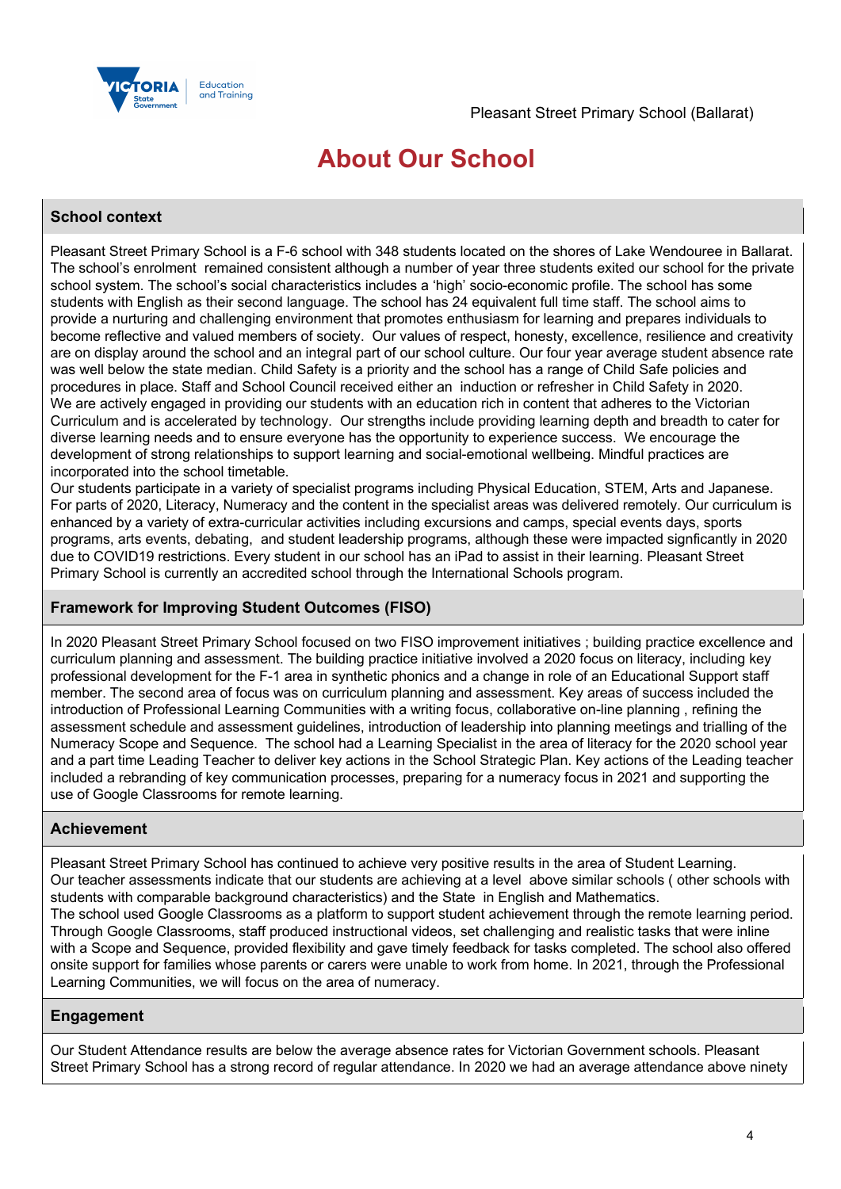

# **About Our School**

## **School context**

Pleasant Street Primary School is a F-6 school with 348 students located on the shores of Lake Wendouree in Ballarat. The school's enrolment remained consistent although a number of year three students exited our school for the private school system. The school's social characteristics includes a 'high' socio-economic profile. The school has some students with English as their second language. The school has 24 equivalent full time staff. The school aims to provide a nurturing and challenging environment that promotes enthusiasm for learning and prepares individuals to become reflective and valued members of society. Our values of respect, honesty, excellence, resilience and creativity are on display around the school and an integral part of our school culture. Our four year average student absence rate was well below the state median. Child Safety is a priority and the school has a range of Child Safe policies and procedures in place. Staff and School Council received either an induction or refresher in Child Safety in 2020. We are actively engaged in providing our students with an education rich in content that adheres to the Victorian Curriculum and is accelerated by technology. Our strengths include providing learning depth and breadth to cater for diverse learning needs and to ensure everyone has the opportunity to experience success. We encourage the development of strong relationships to support learning and social-emotional wellbeing. Mindful practices are incorporated into the school timetable.

Our students participate in a variety of specialist programs including Physical Education, STEM, Arts and Japanese. For parts of 2020, Literacy, Numeracy and the content in the specialist areas was delivered remotely. Our curriculum is enhanced by a variety of extra-curricular activities including excursions and camps, special events days, sports programs, arts events, debating, and student leadership programs, although these were impacted signficantly in 2020 due to COVID19 restrictions. Every student in our school has an iPad to assist in their learning. Pleasant Street Primary School is currently an accredited school through the International Schools program.

## **Framework for Improving Student Outcomes (FISO)**

In 2020 Pleasant Street Primary School focused on two FISO improvement initiatives ; building practice excellence and curriculum planning and assessment. The building practice initiative involved a 2020 focus on literacy, including key professional development for the F-1 area in synthetic phonics and a change in role of an Educational Support staff member. The second area of focus was on curriculum planning and assessment. Key areas of success included the introduction of Professional Learning Communities with a writing focus, collaborative on-line planning , refining the assessment schedule and assessment guidelines, introduction of leadership into planning meetings and trialling of the Numeracy Scope and Sequence. The school had a Learning Specialist in the area of literacy for the 2020 school year and a part time Leading Teacher to deliver key actions in the School Strategic Plan. Key actions of the Leading teacher included a rebranding of key communication processes, preparing for a numeracy focus in 2021 and supporting the use of Google Classrooms for remote learning.

## **Achievement**

Pleasant Street Primary School has continued to achieve very positive results in the area of Student Learning. Our teacher assessments indicate that our students are achieving at a level above similar schools ( other schools with students with comparable background characteristics) and the State in English and Mathematics. The school used Google Classrooms as a platform to support student achievement through the remote learning period. Through Google Classrooms, staff produced instructional videos, set challenging and realistic tasks that were inline with a Scope and Sequence, provided flexibility and gave timely feedback for tasks completed. The school also offered onsite support for families whose parents or carers were unable to work from home. In 2021, through the Professional Learning Communities, we will focus on the area of numeracy.

## **Engagement**

Our Student Attendance results are below the average absence rates for Victorian Government schools. Pleasant Street Primary School has a strong record of regular attendance. In 2020 we had an average attendance above ninety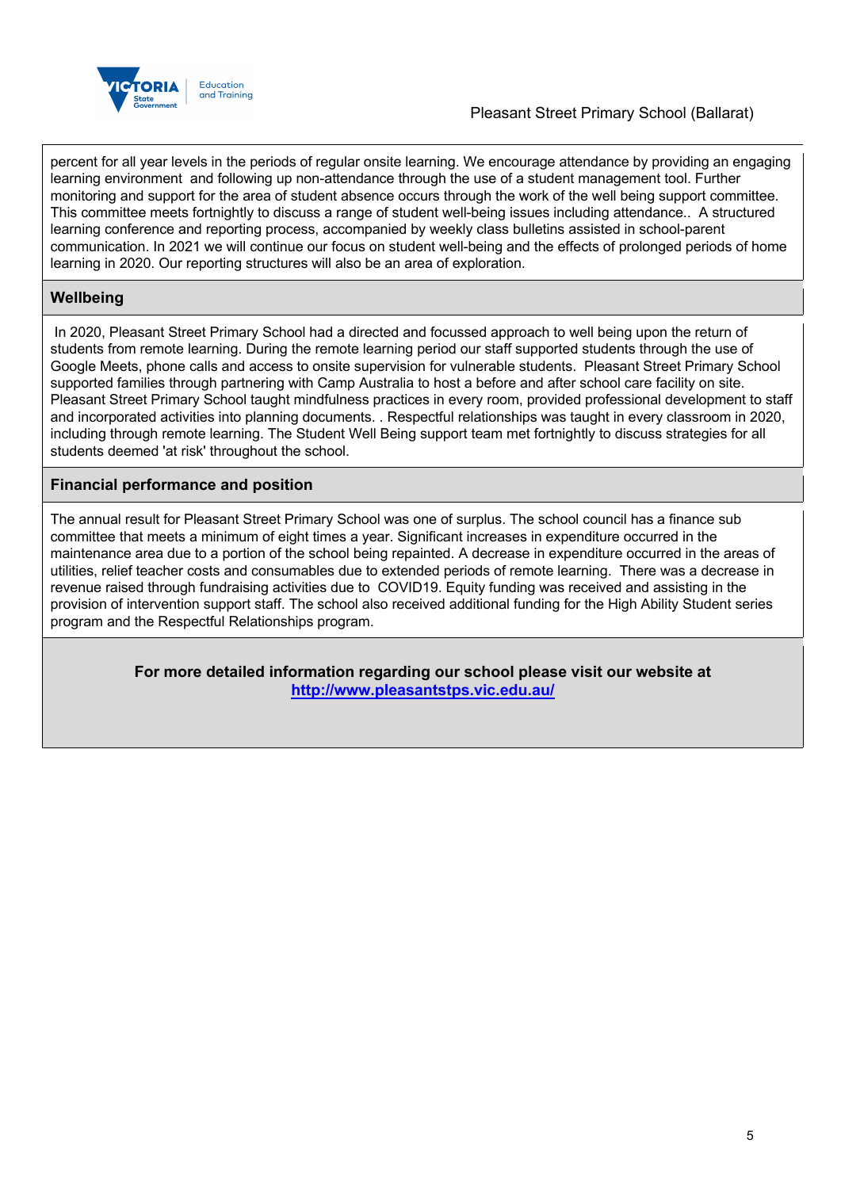

percent for all year levels in the periods of regular onsite learning. We encourage attendance by providing an engaging learning environment and following up non-attendance through the use of a student management tool. Further monitoring and support for the area of student absence occurs through the work of the well being support committee. This committee meets fortnightly to discuss a range of student well-being issues including attendance.. A structured learning conference and reporting process, accompanied by weekly class bulletins assisted in school-parent communication. In 2021 we will continue our focus on student well-being and the effects of prolonged periods of home learning in 2020. Our reporting structures will also be an area of exploration.

# **Wellbeing**

In 2020, Pleasant Street Primary School had a directed and focussed approach to well being upon the return of students from remote learning. During the remote learning period our staff supported students through the use of Google Meets, phone calls and access to onsite supervision for vulnerable students. Pleasant Street Primary School supported families through partnering with Camp Australia to host a before and after school care facility on site. Pleasant Street Primary School taught mindfulness practices in every room, provided professional development to staff and incorporated activities into planning documents. . Respectful relationships was taught in every classroom in 2020, including through remote learning. The Student Well Being support team met fortnightly to discuss strategies for all students deemed 'at risk' throughout the school.

## **Financial performance and position**

The annual result for Pleasant Street Primary School was one of surplus. The school council has a finance sub committee that meets a minimum of eight times a year. Significant increases in expenditure occurred in the maintenance area due to a portion of the school being repainted. A decrease in expenditure occurred in the areas of utilities, relief teacher costs and consumables due to extended periods of remote learning. There was a decrease in revenue raised through fundraising activities due to COVID19. Equity funding was received and assisting in the provision of intervention support staff. The school also received additional funding for the High Ability Student series program and the Respectful Relationships program.

> **For more detailed information regarding our school please visit our website at http://www.pleasantstps.vic.edu.au/**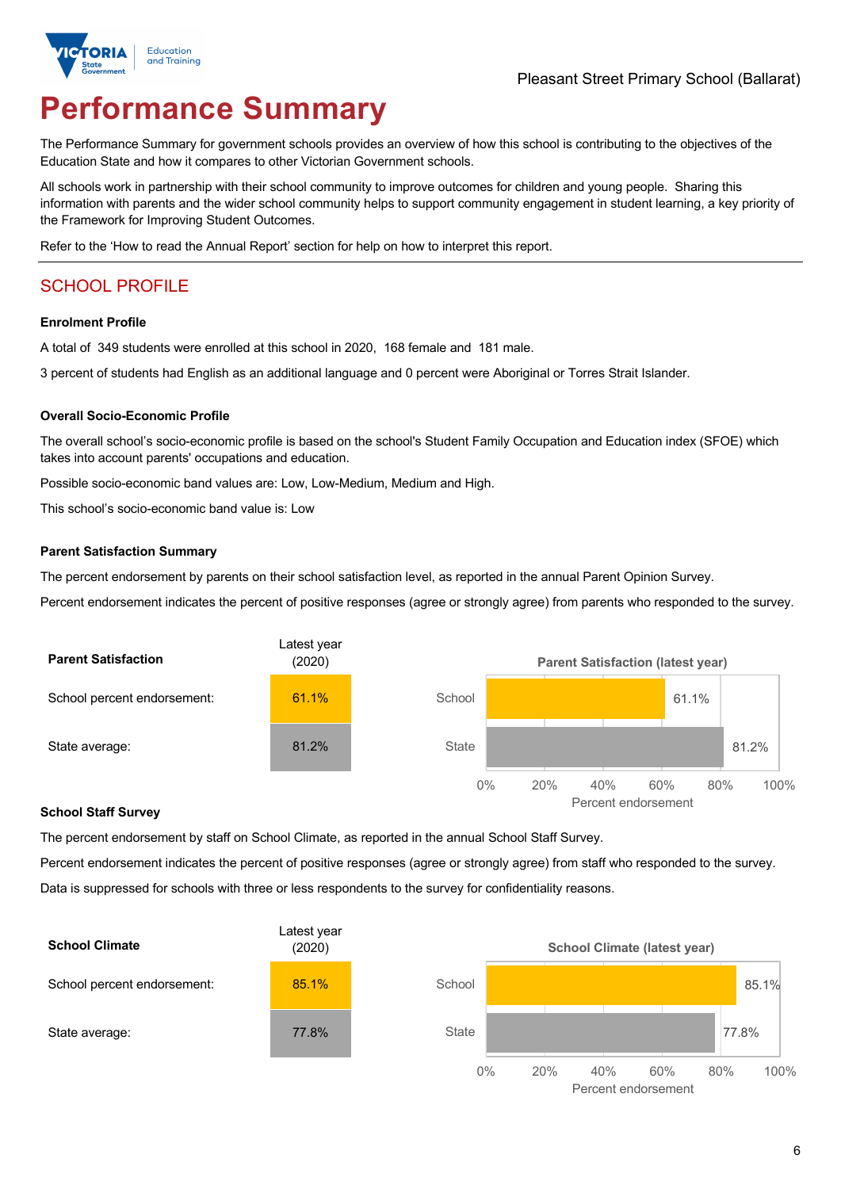

# **Performance Summary**

The Performance Summary for government schools provides an overview of how this school is contributing to the objectives of the Education State and how it compares to other Victorian Government schools.

All schools work in partnership with their school community to improve outcomes for children and young people. Sharing this information with parents and the wider school community helps to support community engagement in student learning, a key priority of the Framework for Improving Student Outcomes.

Refer to the 'How to read the Annual Report' section for help on how to interpret this report.

# SCHOOL PROFILE

#### **Enrolment Profile**

A total of 349 students were enrolled at this school in 2020, 168 female and 181 male.

3 percent of students had English as an additional language and 0 percent were Aboriginal or Torres Strait Islander.

#### **Overall Socio-Economic Profile**

The overall school's socio-economic profile is based on the school's Student Family Occupation and Education index (SFOE) which takes into account parents' occupations and education.

Possible socio-economic band values are: Low, Low-Medium, Medium and High.

This school's socio-economic band value is: Low

#### **Parent Satisfaction Summary**

The percent endorsement by parents on their school satisfaction level, as reported in the annual Parent Opinion Survey.

Percent endorsement indicates the percent of positive responses (agree or strongly agree) from parents who responded to the survey.



#### **School Staff Survey**

The percent endorsement by staff on School Climate, as reported in the annual School Staff Survey.

Percent endorsement indicates the percent of positive responses (agree or strongly agree) from staff who responded to the survey. Data is suppressed for schools with three or less respondents to the survey for confidentiality reasons.

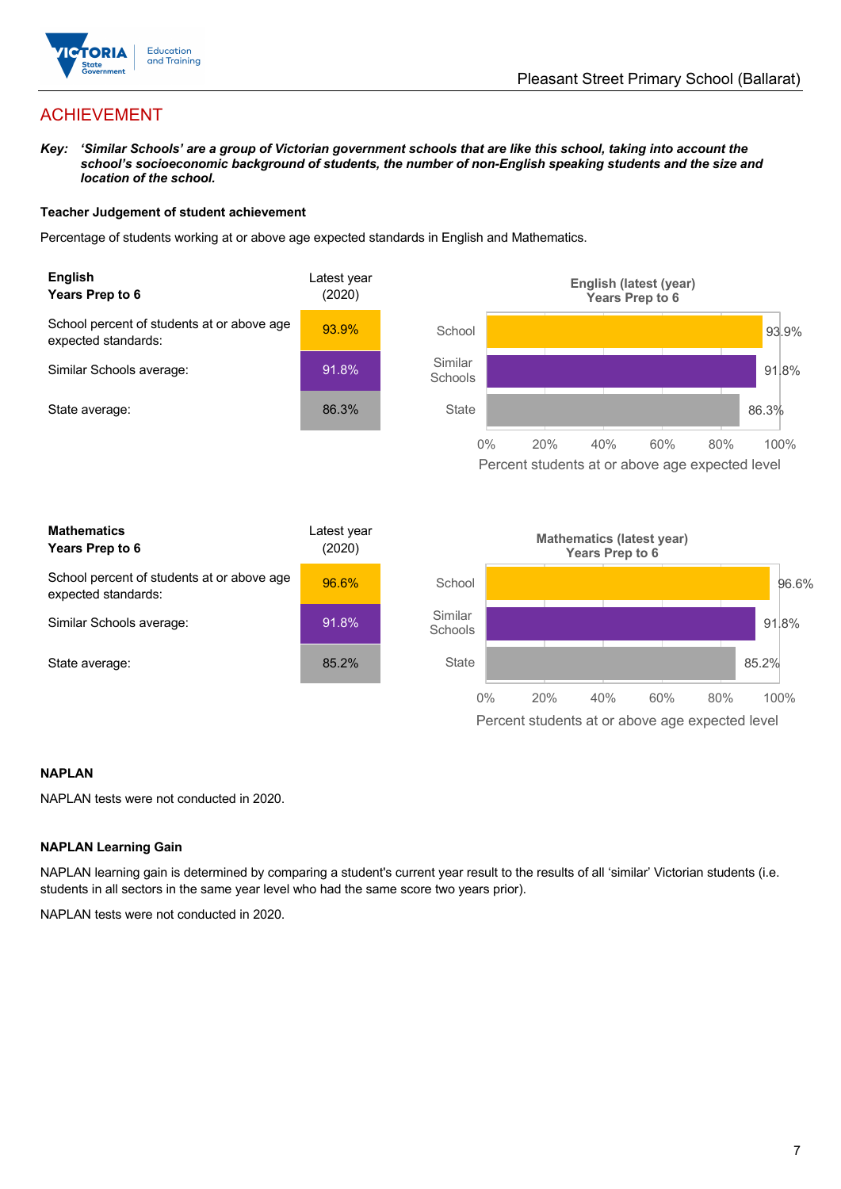

# ACHIEVEMENT

*Key: 'Similar Schools' are a group of Victorian government schools that are like this school, taking into account the*  school's socioeconomic background of students, the number of non-English speaking students and the size and *location of the school.*

### **Teacher Judgement of student achievement**

Percentage of students working at or above age expected standards in English and Mathematics.



### **NAPLAN**

NAPLAN tests were not conducted in 2020.

### **NAPLAN Learning Gain**

NAPLAN learning gain is determined by comparing a student's current year result to the results of all 'similar' Victorian students (i.e. students in all sectors in the same year level who had the same score two years prior).

NAPLAN tests were not conducted in 2020.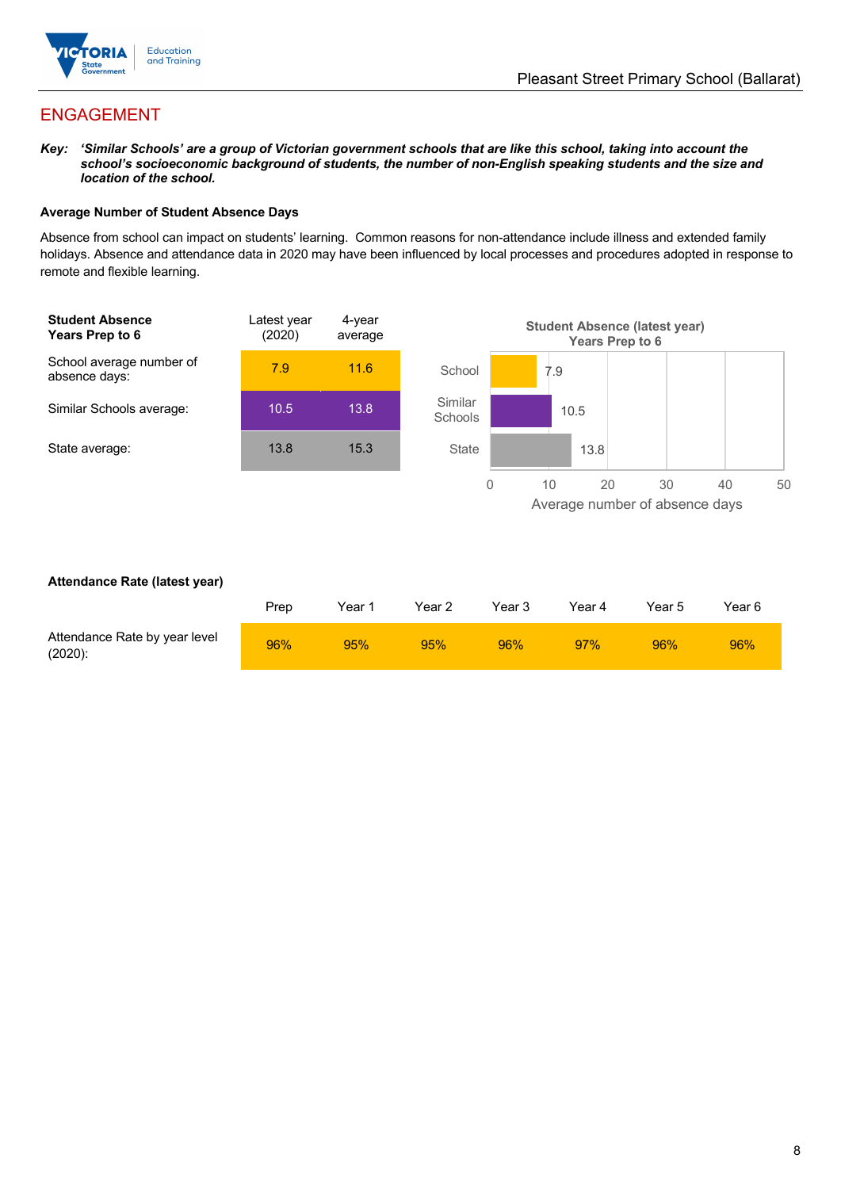

# ENGAGEMENT

*Key: 'Similar Schools' are a group of Victorian government schools that are like this school, taking into account the*  school's socioeconomic background of students, the number of non-English speaking students and the size and *location of the school.*

### **Average Number of Student Absence Days**

Absence from school can impact on students' learning. Common reasons for non-attendance include illness and extended family holidays. Absence and attendance data in 2020 may have been influenced by local processes and procedures adopted in response to remote and flexible learning.



### **Attendance Rate (latest year)**

|                                             | Prep | Year 1 | Year 2 | Year 3 | Year 4 | Year 5 | Year 6 |
|---------------------------------------------|------|--------|--------|--------|--------|--------|--------|
| Attendance Rate by year level<br>$(2020)$ : | 96%  | 95%    | 95%    | 96%    | 97%    | 96%    | 96%    |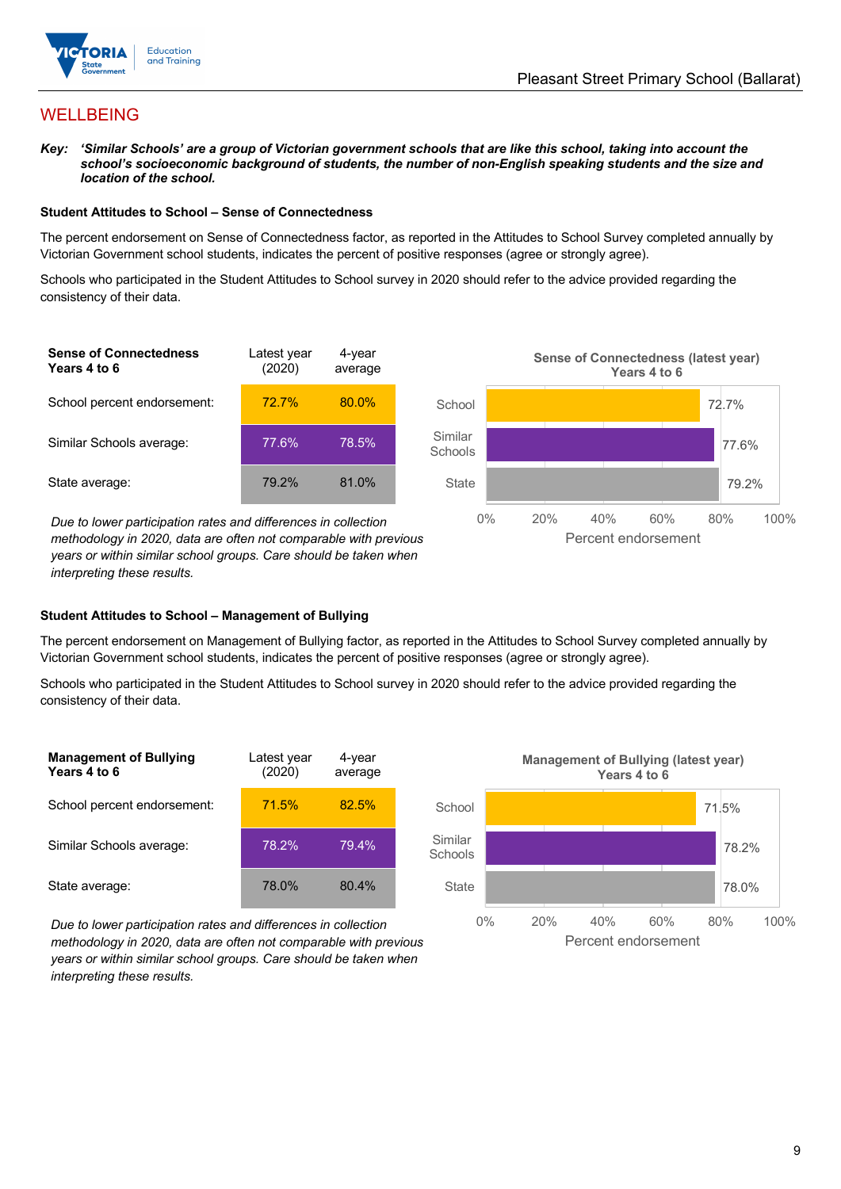

# WELLBEING

*Key: 'Similar Schools' are a group of Victorian government schools that are like this school, taking into account the*  school's socioeconomic background of students, the number of non-English speaking students and the size and *location of the school.*

#### **Student Attitudes to School – Sense of Connectedness**

The percent endorsement on Sense of Connectedness factor, as reported in the Attitudes to School Survey completed annually by Victorian Government school students, indicates the percent of positive responses (agree or strongly agree).

Schools who participated in the Student Attitudes to School survey in 2020 should refer to the advice provided regarding the consistency of their data.



*methodology in 2020, data are often not comparable with previous years or within similar school groups. Care should be taken when interpreting these results.*

### **Student Attitudes to School – Management of Bullying**

The percent endorsement on Management of Bullying factor, as reported in the Attitudes to School Survey completed annually by Victorian Government school students, indicates the percent of positive responses (agree or strongly agree).

Schools who participated in the Student Attitudes to School survey in 2020 should refer to the advice provided regarding the consistency of their data.

| <b>Management of Bullying</b><br>Years 4 to 6 | Latest year<br>(2020) | 4-year<br>average |  |
|-----------------------------------------------|-----------------------|-------------------|--|
| School percent endorsement:                   | 71.5%                 | 82.5%             |  |
| Similar Schools average:                      | 78.2%                 | 79.4%             |  |
| State average:                                | 78.0%                 | 80.4%             |  |

*Due to lower participation rates and differences in collection methodology in 2020, data are often not comparable with previous years or within similar school groups. Care should be taken when interpreting these results.*



Percent endorsement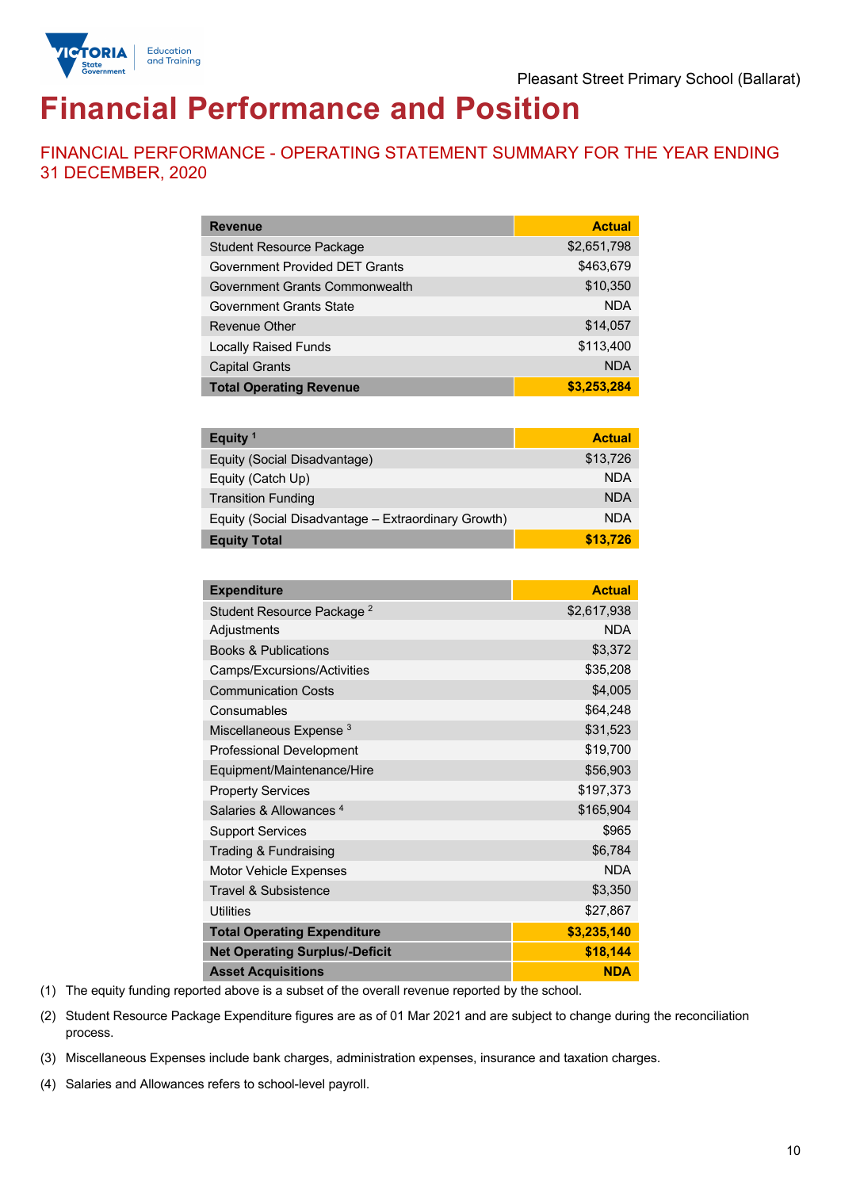

# **Financial Performance and Position**

FINANCIAL PERFORMANCE - OPERATING STATEMENT SUMMARY FOR THE YEAR ENDING 31 DECEMBER, 2020

| <b>Revenue</b>                  | <b>Actual</b> |
|---------------------------------|---------------|
| <b>Student Resource Package</b> | \$2,651,798   |
| Government Provided DET Grants  | \$463.679     |
| Government Grants Commonwealth  | \$10,350      |
| Government Grants State         | <b>NDA</b>    |
| Revenue Other                   | \$14,057      |
| <b>Locally Raised Funds</b>     | \$113,400     |
| <b>Capital Grants</b>           | <b>NDA</b>    |
| <b>Total Operating Revenue</b>  | \$3,253,284   |

| Equity <sup>1</sup>                                 | <b>Actual</b> |
|-----------------------------------------------------|---------------|
| Equity (Social Disadvantage)                        | \$13,726      |
| Equity (Catch Up)                                   | <b>NDA</b>    |
| <b>Transition Funding</b>                           | <b>NDA</b>    |
| Equity (Social Disadvantage - Extraordinary Growth) | <b>NDA</b>    |
| <b>Equity Total</b>                                 | \$13.726      |

| <b>Expenditure</b>                    | <b>Actual</b> |
|---------------------------------------|---------------|
| Student Resource Package <sup>2</sup> | \$2,617,938   |
| Adjustments                           | <b>NDA</b>    |
| <b>Books &amp; Publications</b>       | \$3,372       |
| Camps/Excursions/Activities           | \$35,208      |
| <b>Communication Costs</b>            | \$4,005       |
| Consumables                           | \$64,248      |
| Miscellaneous Expense <sup>3</sup>    | \$31,523      |
| <b>Professional Development</b>       | \$19,700      |
| Equipment/Maintenance/Hire            | \$56,903      |
| <b>Property Services</b>              | \$197,373     |
| Salaries & Allowances <sup>4</sup>    | \$165,904     |
| <b>Support Services</b>               | \$965         |
| Trading & Fundraising                 | \$6,784       |
| Motor Vehicle Expenses                | <b>NDA</b>    |
| Travel & Subsistence                  | \$3,350       |
| Utilities                             | \$27,867      |
| <b>Total Operating Expenditure</b>    | \$3,235,140   |
| <b>Net Operating Surplus/-Deficit</b> | \$18,144      |
| <b>Asset Acquisitions</b>             | <b>NDA</b>    |

(1) The equity funding reported above is a subset of the overall revenue reported by the school.

(2) Student Resource Package Expenditure figures are as of 01 Mar 2021 and are subject to change during the reconciliation process.

(3) Miscellaneous Expenses include bank charges, administration expenses, insurance and taxation charges.

(4) Salaries and Allowances refers to school-level payroll.